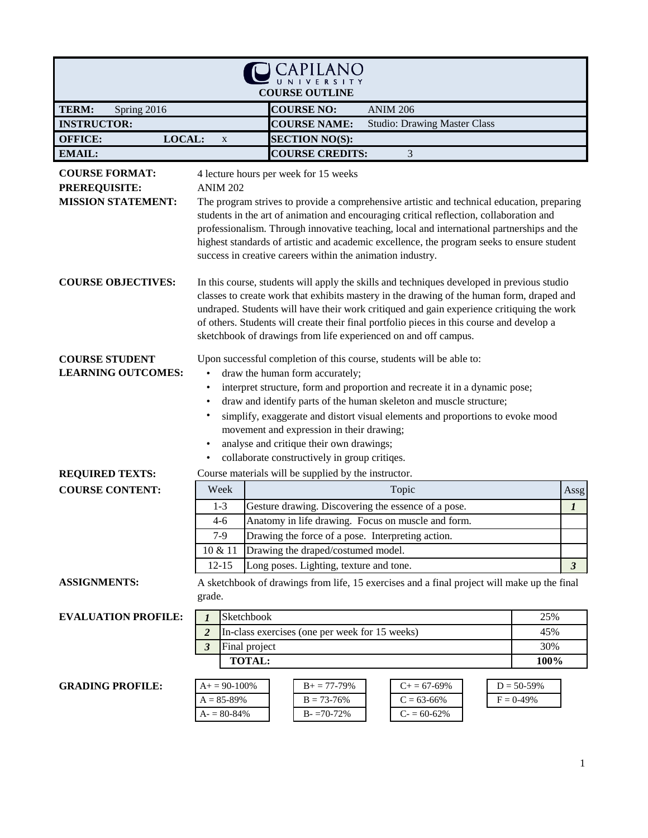| <b>COURSE OUTLINE</b>                                                      |                                                                                                                                                                                                                                                                                                                                                                                                                                                                                                                                                    |                                                                                                                                                                                                                                                                                                                                                                                                                                                                                          |                                          |  |
|----------------------------------------------------------------------------|----------------------------------------------------------------------------------------------------------------------------------------------------------------------------------------------------------------------------------------------------------------------------------------------------------------------------------------------------------------------------------------------------------------------------------------------------------------------------------------------------------------------------------------------------|------------------------------------------------------------------------------------------------------------------------------------------------------------------------------------------------------------------------------------------------------------------------------------------------------------------------------------------------------------------------------------------------------------------------------------------------------------------------------------------|------------------------------------------|--|
| TERM:<br>Spring 2016                                                       |                                                                                                                                                                                                                                                                                                                                                                                                                                                                                                                                                    | <b>COURSE NO:</b><br><b>ANIM 206</b>                                                                                                                                                                                                                                                                                                                                                                                                                                                     |                                          |  |
| <b>INSTRUCTOR:</b>                                                         |                                                                                                                                                                                                                                                                                                                                                                                                                                                                                                                                                    | <b>COURSE NAME:</b><br><b>Studio: Drawing Master Class</b>                                                                                                                                                                                                                                                                                                                                                                                                                               |                                          |  |
| LOCAL:<br><b>OFFICE:</b>                                                   | $\mathbf X$                                                                                                                                                                                                                                                                                                                                                                                                                                                                                                                                        | <b>SECTION NO(S):</b>                                                                                                                                                                                                                                                                                                                                                                                                                                                                    |                                          |  |
| <b>EMAIL:</b>                                                              |                                                                                                                                                                                                                                                                                                                                                                                                                                                                                                                                                    | <b>COURSE CREDITS:</b><br>3                                                                                                                                                                                                                                                                                                                                                                                                                                                              |                                          |  |
| <b>COURSE FORMAT:</b><br><b>PREREQUISITE:</b><br><b>MISSION STATEMENT:</b> | <b>ANIM 202</b>                                                                                                                                                                                                                                                                                                                                                                                                                                                                                                                                    | 4 lecture hours per week for 15 weeks<br>The program strives to provide a comprehensive artistic and technical education, preparing<br>students in the art of animation and encouraging critical reflection, collaboration and<br>professionalism. Through innovative teaching, local and international partnerships and the<br>highest standards of artistic and academic excellence, the program seeks to ensure student<br>success in creative careers within the animation industry. |                                          |  |
| <b>COURSE OBJECTIVES:</b>                                                  | In this course, students will apply the skills and techniques developed in previous studio<br>classes to create work that exhibits mastery in the drawing of the human form, draped and<br>undraped. Students will have their work critiqued and gain experience critiquing the work<br>of others. Students will create their final portfolio pieces in this course and develop a<br>sketchbook of drawings from life experienced on and off campus.                                                                                               |                                                                                                                                                                                                                                                                                                                                                                                                                                                                                          |                                          |  |
| <b>COURSE STUDENT</b><br><b>LEARNING OUTCOMES:</b>                         | Upon successful completion of this course, students will be able to:<br>draw the human form accurately;<br>$\bullet$<br>interpret structure, form and proportion and recreate it in a dynamic pose;<br>٠<br>draw and identify parts of the human skeleton and muscle structure;<br>$\bullet$<br>simplify, exaggerate and distort visual elements and proportions to evoke mood<br>$\bullet$<br>movement and expression in their drawing;<br>analyse and critique their own drawings;<br>$\bullet$<br>collaborate constructively in group critiqes. |                                                                                                                                                                                                                                                                                                                                                                                                                                                                                          |                                          |  |
| <b>REQUIRED TEXTS:</b>                                                     |                                                                                                                                                                                                                                                                                                                                                                                                                                                                                                                                                    | Course materials will be supplied by the instructor.                                                                                                                                                                                                                                                                                                                                                                                                                                     |                                          |  |
| <b>COURSE CONTENT:</b>                                                     | Week                                                                                                                                                                                                                                                                                                                                                                                                                                                                                                                                               | Topic                                                                                                                                                                                                                                                                                                                                                                                                                                                                                    | Assg                                     |  |
|                                                                            | $1 - 3$<br>$4 - 6$<br>$7-9$<br>10 & 11<br>$12 - 15$                                                                                                                                                                                                                                                                                                                                                                                                                                                                                                | Gesture drawing. Discovering the essence of a pose.<br>Anatomy in life drawing. Focus on muscle and form.<br>Drawing the force of a pose. Interpreting action.<br>Drawing the draped/costumed model.<br>Long poses. Lighting, texture and tone.                                                                                                                                                                                                                                          | $\boldsymbol{l}$<br>$\boldsymbol{\beta}$ |  |
| <b>ASSIGNMENTS:</b>                                                        | grade.                                                                                                                                                                                                                                                                                                                                                                                                                                                                                                                                             | A sketchbook of drawings from life, 15 exercises and a final project will make up the final                                                                                                                                                                                                                                                                                                                                                                                              |                                          |  |
| <b>EVALUATION PROFILE:</b>                                                 | $\boldsymbol{l}$<br>$\overline{2}$<br>$\mathbf{3}$                                                                                                                                                                                                                                                                                                                                                                                                                                                                                                 | Sketchbook<br>25%<br>In-class exercises (one per week for 15 weeks)<br>45%<br>Final project<br>30%<br><b>TOTAL:</b><br>100%                                                                                                                                                                                                                                                                                                                                                              |                                          |  |
| <b>GRADING PROFILE:</b>                                                    | $A+=90-100%$<br>$A = 85 - 89%$<br>$A = 80 - 84\%$                                                                                                                                                                                                                                                                                                                                                                                                                                                                                                  | $C+=67-69\%$<br>$D = 50 - 59%$<br>$B+ = 77-79%$<br>$C = 63-66%$<br>$F = 0 - 49\%$<br>$B = 73 - 76%$<br>$B - 70 - 72%$<br>$C = 60-62%$                                                                                                                                                                                                                                                                                                                                                    |                                          |  |